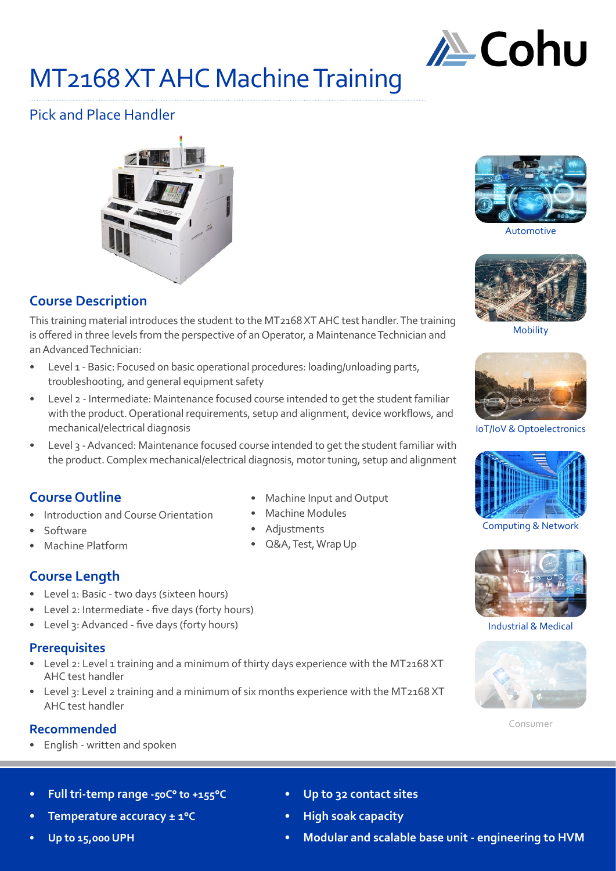

# MT2168 XT AHC Machine Training

# Pick and Place Handler



## **Course Description**

This training material introduces the student to the MT2168 XT AHC test handler. The training is offered in three levels from the perspective of an Operator, a Maintenance Technician and an Advanced Technician:

- Level 1 Basic: Focused on basic operational procedures: loading/unloading parts, troubleshooting, and general equipment safety
- Level 2 Intermediate: Maintenance focused course intended to get the student familiar with the product. Operational requirements, setup and alignment, device workflows, and mechanical/electrical diagnosis
- Level 3 Advanced: Maintenance focused course intended to get the student familiar with the product. Complex mechanical/electrical diagnosis, motor tuning, setup and alignment

## **Course Outline**

- Introduction and Course Orientation
- Software
- Machine Platform
- **Course Length**
- Level 1: Basic two days (sixteen hours)
- Level 2: Intermediate five days (forty hours)
- Level 3: Advanced five days (forty hours)

## **Prerequisites**

- Level 2: Level 1 training and a minimum of thirty days experience with the MT2168 XT AHC test handler
- Level 3: Level 2 training and a minimum of six months experience with the MT2168 XT AHC test handler

## **Recommended**

- English written and spoken
- **• Full tri-temp range -50C° to +155°C**
- **• Temperature accuracy ± 1°C**
- **• Up to 15,000 UPH**
- Machine Input and Output
- Machine Modules
- Adjustments
- Q&A, Test, Wrap Up



Automotive



Mobility



IoT/IoV & Optoelectronics



Computing & Network



Industrial & Medical



Consumer

- **• Up to 32 contact sites**
- **• High soak capacity**
- **• Modular and scalable base unit engineering to HVM**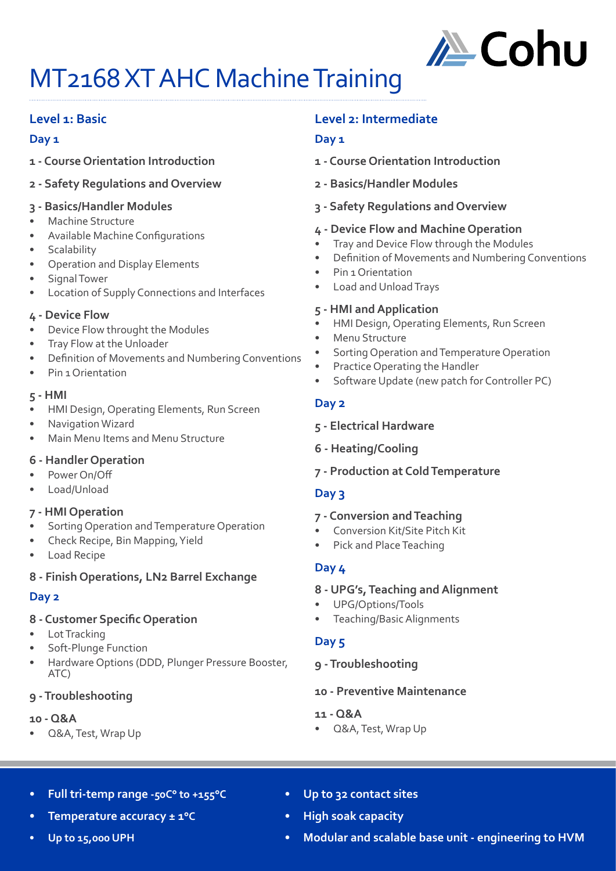

# MT2168 XT AHC Machine Training

## **Level 1: Basic**

#### **Day 1**

- **1 Course Orientation Introduction**
- **2 Safety Regulations and Overview**
- **3 Basics/Handler Modules**
- Machine Structure
- Available Machine Configurations
- **Scalability**
- Operation and Display Elements
- Signal Tower
- Location of Supply Connections and Interfaces

#### **4 - Device Flow**

- Device Flow throught the Modules
- Tray Flow at the Unloader
- Definition of Movements and Numbering Conventions
- Pin 1 Orientation

#### **5 - HMI**

- HMI Design, Operating Elements, Run Screen
- Navigation Wizard
- Main Menu Items and Menu Structure

#### **6 - Handler Operation**

- Power On/Off
- Load/Unload

#### **7 - HMI Operation**

- Sorting Operation and Temperature Operation
- Check Recipe, Bin Mapping, Yield
- Load Recipe

## **8 - Finish Operations, LN2 Barrel Exchange**

## **Day 2**

## **8 - Customer Specific Operation**

- Lot Tracking
- Soft-Plunge Function
- Hardware Options (DDD, Plunger Pressure Booster, ATC)

## **9 - Troubleshooting**

#### **10 - Q&A**

• Q&A, Test, Wrap Up

## **Level 2: Intermediate**

## **Day 1**

- **1 Course Orientation Introduction**
- **2 Basics/Handler Modules**
- **3 Safety Regulations and Overview**

#### **4 - Device Flow and Machine Operation**

- Tray and Device Flow through the Modules
- Definition of Movements and Numbering Conventions
- Pin 1 Orientation
- Load and Unload Trays

#### **5 - HMI and Application**

- HMI Design, Operating Elements, Run Screen
- Menu Structure
- Sorting Operation and Temperature Operation
- Practice Operating the Handler
- Software Update (new patch for Controller PC)

#### **Day 2**

- **5 Electrical Hardware**
- **6 Heating/Cooling**
- **7 Production at Cold Temperature**

## **Day 3**

#### **7 - Conversion and Teaching**

- Conversion Kit/Site Pitch Kit
- Pick and Place Teaching

## **Day 4**

#### **8 - UPG's, Teaching and Alignment**

- UPG/Options/Tools
- Teaching/Basic Alignments

## **Day 5**

## **9 - Troubleshooting**

#### **10 - Preventive Maintenance**

- **11 Q&A**
- Q&A, Test, Wrap Up

- **• Full tri-temp range -50C° to +155°C**
- **• Temperature accuracy ± 1°C**

#### **• Up to 15,000 UPH**

- **• Up to 32 contact sites**
- **• High soak capacity**
- **• Modular and scalable base unit engineering to HVM**